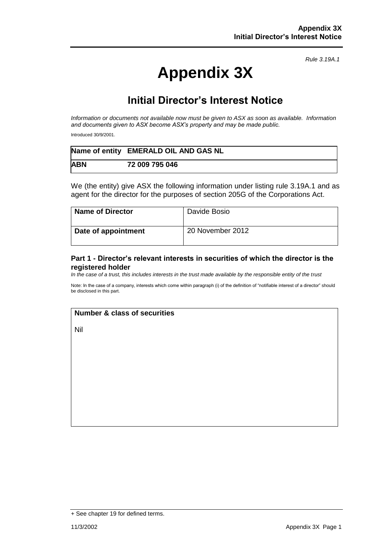*Rule 3.19A.1*

# **Appendix 3X**

## **Initial Director's Interest Notice**

*Information or documents not available now must be given to ASX as soon as available. Information and documents given to ASX become ASX's property and may be made public.*

Introduced 30/9/2001.

|            | Name of entity EMERALD OIL AND GAS NL |
|------------|---------------------------------------|
| <b>ABN</b> | 72 009 795 046                        |

We (the entity) give ASX the following information under listing rule 3.19A.1 and as agent for the director for the purposes of section 205G of the Corporations Act.

| <b>Name of Director</b> | Davide Bosio     |
|-------------------------|------------------|
| Date of appointment     | 20 November 2012 |

#### **Part 1 - Director's relevant interests in securities of which the director is the registered holder**

*In the case of a trust, this includes interests in the trust made available by the responsible entity of the trust*

Note: In the case of a company, interests which come within paragraph (i) of the definition of "notifiable interest of a director" should be disclosed in this part.

#### **Number & class of securities**

Nil

<sup>+</sup> See chapter 19 for defined terms.